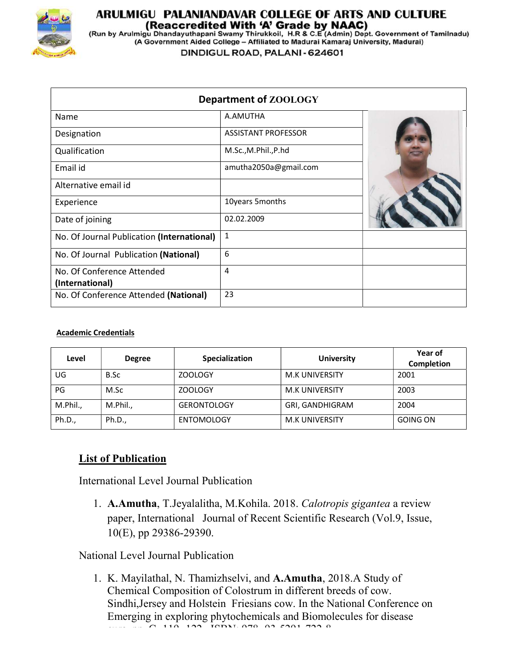

## ARULMIGU PALANIANDAVAR COLLEGE OF ARTS AND CULTURE

(Reaccredited With 'A' Grade by NAAC)<br>(Run by Arulmigu Dhandayuthapani Swamy Thirukkoil, H.R & C.E (Admin) Dept. Government of Tamilnadu)<br>(A Government Aided College – Affiliated to Madurai Kamaraj University, Madurai)

DINDIGUL ROAD, PALANI - 624601

| Department of ZOOLOGY                      |                            |  |  |
|--------------------------------------------|----------------------------|--|--|
| Name                                       | A.AMUTHA                   |  |  |
| Designation                                | <b>ASSISTANT PROFESSOR</b> |  |  |
| Qualification                              | M.Sc., M.Phil., P.hd       |  |  |
| Email id                                   | amutha2050a@gmail.com      |  |  |
| Alternative email id                       |                            |  |  |
| Experience                                 | 10years 5months            |  |  |
| Date of joining                            | 02.02.2009                 |  |  |
| No. Of Journal Publication (International) | $\mathbf{1}$               |  |  |
| No. Of Journal Publication (National)      | 6                          |  |  |
| No. Of Conference Attended                 | 4                          |  |  |
| (International)                            |                            |  |  |
| No. Of Conference Attended (National)      | 23                         |  |  |

## Academic Credentials

| Level    | <b>Degree</b> | Specialization     | <b>University</b> | Year of<br><b>Completion</b> |
|----------|---------------|--------------------|-------------------|------------------------------|
| UG       | B.Sc          | <b>ZOOLOGY</b>     | M.K UNIVERSITY    | 2001                         |
| PG       | M.Sc          | ZOOLOGY            | M.K UNIVERSITY    | 2003                         |
| M.Phil., | M.Phil.,      | <b>GERONTOLOGY</b> | GRI, GANDHIGRAM   | 2004                         |
| Ph.D.,   | Ph.D.,        | ENTOMOLOGY         | M.K UNIVERSITY    | <b>GOING ON</b>              |

## List of Publication

International Level Journal Publication

1. A.Amutha, T.Jeyalalitha, M.Kohila. 2018. Calotropis gigantea a review paper, International Journal of Recent Scientific Research (Vol.9, Issue, 10(E), pp 29386-29390.

National Level Journal Publication

1. K. Mayilathal, N. Thamizhselvi, and A.Amutha, 2018.A Study of Chemical Composition of Colostrum in different breeds of cow. Sindhi,Jersey and Holstein Friesians cow. In the National Conference on Emerging in exploring phytochemicals and Biomolecules for disease

 $\alpha$ - 110- 100- IGD IT .OR 03-5001-500-0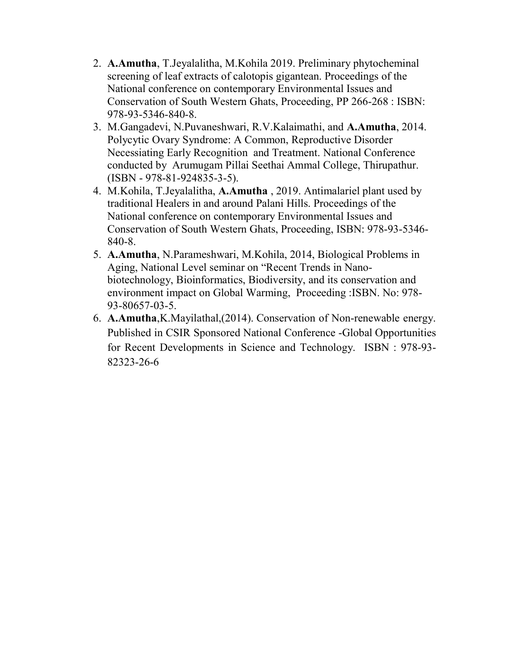- 2. A.Amutha, T.Jeyalalitha, M.Kohila 2019. Preliminary phytocheminal screening of leaf extracts of calotopis gigantean. Proceedings of the National conference on contemporary Environmental Issues and Conservation of South Western Ghats, Proceeding, PP 266-268 : ISBN: 978-93-5346-840-8.
- 3. M.Gangadevi, N.Puvaneshwari, R.V.Kalaimathi, and A.Amutha, 2014. Polycytic Ovary Syndrome: A Common, Reproductive Disorder Necessiating Early Recognition and Treatment. National Conference conducted by Arumugam Pillai Seethai Ammal College, Thirupathur. (ISBN - 978-81-924835-3-5).
- 4. M.Kohila, T.Jeyalalitha, A.Amutha , 2019. Antimalariel plant used by traditional Healers in and around Palani Hills. Proceedings of the National conference on contemporary Environmental Issues and Conservation of South Western Ghats, Proceeding, ISBN: 978-93-5346- 840-8.
- 5. A.Amutha, N.Parameshwari, M.Kohila, 2014, Biological Problems in Aging, National Level seminar on "Recent Trends in Nanobiotechnology, Bioinformatics, Biodiversity, and its conservation and environment impact on Global Warming, Proceeding :ISBN. No: 978- 93-80657-03-5.
- 6. A.Amutha,K.Mayilathal,(2014). Conservation of Non-renewable energy. Published in CSIR Sponsored National Conference -Global Opportunities for Recent Developments in Science and Technology. ISBN : 978-93- 82323-26-6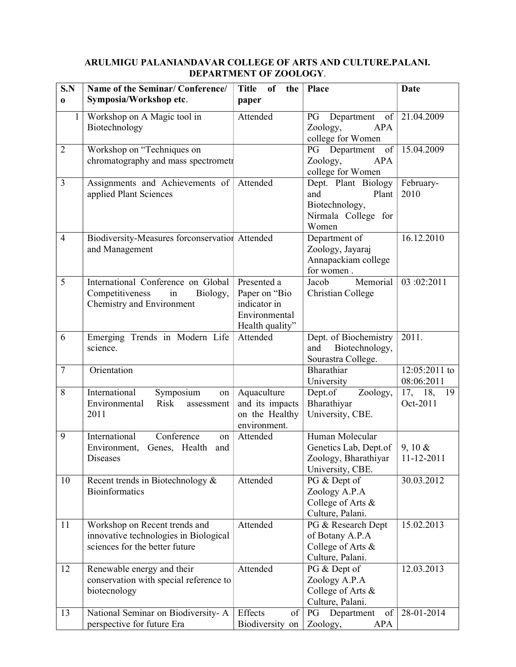## ARULMIGU PALANIANDAVAR COLLEGE OF ARTS AND CULTURE.PALANI. DEPARTMENT OF ZOOLOGY.

| S.N<br>$\bf{0}$ | Name of the Seminar/Conference/<br>Symposia/Workshop etc.                                                | <b>Title</b><br>of<br>the<br>paper                                               | Place                                                                                  | Date                        |
|-----------------|----------------------------------------------------------------------------------------------------------|----------------------------------------------------------------------------------|----------------------------------------------------------------------------------------|-----------------------------|
| $\mathbf{1}$    | Workshop on A Magic tool in<br>Biotechnology                                                             | Attended                                                                         | Department of $ 21.04.2009$<br>PG<br>Zoology,<br>APA<br>college for Women              |                             |
| $\overline{2}$  | Workshop on "Techniques on<br>chromatography and mass spectrometr                                        |                                                                                  | $\overline{\text{of}}$<br>PG Department<br><b>APA</b><br>Zoology,<br>college for Women | 15.04.2009                  |
| 3               | Assignments and Achievements of<br>applied Plant Sciences                                                | Attended                                                                         | Dept. Plant Biology<br>and<br>Plant<br>Biotechnology,<br>Nirmala College for<br>Women  | February-<br>2010           |
| $\overline{4}$  | Biodiversity-Measures forconservation Attended<br>and Management                                         |                                                                                  | Department of<br>Zoology, Jayaraj<br>Annapackiam college<br>for women.                 | 16.12.2010                  |
| 5               | International Conference on Global<br>Competitiveness in<br>Biology,<br>Chemistry and Environment        | Presented a<br>Paper on "Bio<br>indicator in<br>Environmental<br>Health quality" | Memorial<br>Jacob<br>Christian College                                                 | 03:02:2011                  |
| 6               | Emerging Trends in Modern Life<br>science.                                                               | Attended                                                                         | Dept. of Biochemistry<br>and<br>Biotechnology,<br>Sourastra College.                   | 2011.                       |
| $\tau$          | Orientation                                                                                              |                                                                                  | Bharathiar<br>University                                                               | 12:05:2011 to<br>08:06:2011 |
| 8               | International<br>Symposium<br>on<br>Risk<br>Environmental<br>assessment<br>2011                          | Aquaculture<br>and its impacts<br>on the Healthy<br>environment.                 | Dept.of<br>Zoology,<br>Bharathiyar<br>University, CBE.                                 | 17, 18,<br>19<br>Oct-2011   |
| 9               | International<br>Conference<br>on<br>Environment, Genes, Health<br>and<br>Diseases                       | Attended                                                                         | Human Molecular<br>Genetics Lab, Dept.of<br>Zoology, Bharathiyar<br>University, CBE.   | $9, 10 \&$<br>11-12-2011    |
| 10              | Recent trends in Biotechnology $\&$<br><b>Bioinformatics</b>                                             | Attended                                                                         | PG & Dept of<br>Zoology A.P.A<br>College of Arts &<br>Culture, Palani.                 | 30.03.2012                  |
| 11              | Workshop on Recent trends and<br>innovative technologies in Biological<br>sciences for the better future | Attended                                                                         | PG & Research Dept<br>of Botany A.P.A<br>College of Arts &<br>Culture, Palani.         | 15.02.2013                  |
| 12              | Renewable energy and their<br>conservation with special reference to<br>biotecnology                     | Attended                                                                         | PG & Dept of<br>Zoology A.P.A<br>College of Arts &<br>Culture, Palani.                 | 12.03.2013                  |
| 13              | National Seminar on Biodiversity-A<br>perspective for future Era                                         | Effects<br>of<br>Biodiversity on                                                 | PG<br>Department<br>of<br>Zoology,<br><b>APA</b>                                       | 28-01-2014                  |